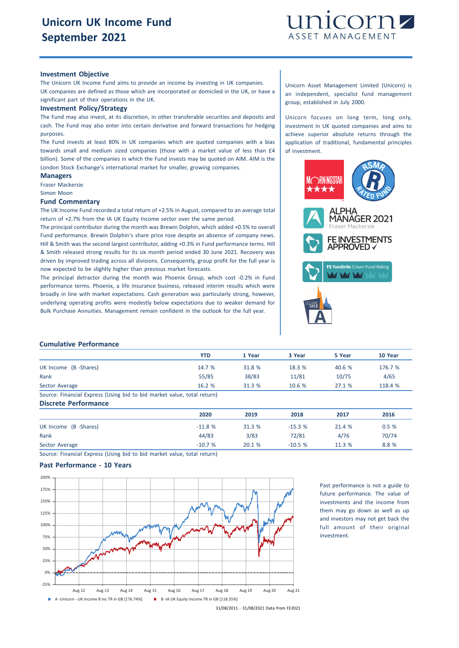

### **Investment Objective**

The Unicorn UK Income Fund aims to provide an income by investing in UK companies. UK companies are defined as those which are incorporated or domiciled in the UK, or have a significant part of their operations in the UK.

### **Investment Policy/Strategy**

The Fund may also invest, at its discretion, in other transferable securities and deposits and cash. The Fund may also enter into certain derivative and forward transactions for hedging purposes.

The Fund invests at least 80% in UK companies which are quoted companies with a bias towards small and medium sized companies (those with a market value of less than £4 billion). Some of the companies in which the Fund invests may be quoted on AIM. AIM is the London Stock Exchange's international market for smaller, growing companies.

### **Managers** Fraser Mackersie

Simon Moon

**Fund Commentary**

The UK Income Fund recorded a total return of +2.5% in August, compared to an average total return of +2.7% from the IA UK Equity Income sector over the same period.

The principal contributor during the month was Brewin Dolphin, which added +0.5% to overall Fund performance. Brewin Dolphin's share price rose despite an absence of company news. Hill & Smith was the second largest contributor, adding +0.3% in Fund performance terms. Hill & Smith released strong results for its six month period ended 30 June 2021. Recovery was driven by improved trading across all divisions. Consequently, group profit for the full year is now expected to be slightly higher than previous market forecasts.

The principal detractor during the month was Phoenix Group, which cost -0.2% in Fund performance terms. Phoenix, a life insurance business, released interim results which were broadly in line with market expectations. Cash generation was particularly strong, however, underlying operating profits were modestly below expectations due to weaker demand for Bulk Purchase Annuities. Management remain confident in the outlook for the full year.

Unicorn Asset Management Limited (Unicorn) is an independent, specialist fund management group, established in July 2000.

Unicorn focuses on long term, long only, investment in UK quoted companies and aims to achieve superior absolute returns through the application of traditional, fundamental principles of investment.



## **Cumulative Performance**

|                                                                         | YTD    | 1 Year | 3 Year | 5 Year | 10 Year |
|-------------------------------------------------------------------------|--------|--------|--------|--------|---------|
| UK Income (B -Shares)                                                   | 14.7 % | 31.8 % | 18.3%  | 40.6 % | 176.7 % |
| Rank                                                                    | 55/85  | 38/83  | 11/81  | 10/75  | 4/65    |
| Sector Average                                                          | 16.2 % | 31.3 % | 10.6%  | 27.1%  | 118.4 % |
| Source: Financial Express (Using bid to bid market value, total return) |        |        |        |        |         |
| <b>Discrete Performance</b>                                             |        |        |        |        |         |

**2020 2019 2018 2017 2016** UK Income (B -Shares) 0.5 % 21.4 % 31.3 % 31.3 % 31.3 % 31.3 % 21.4 % 0.5 % Rank 44/83 3/83 72/81 4/76 70/74 Sector Average -10.7 % 20.1 % -10.5 % 11.3 % 8.8 %

Source: Financial Express (Using bid to bid market value, total return)

# **Past Performance - 10 Years**



Past performance is not a guide to future performance. The value of investments and the income from them may go down as well as up and investors may not get back the full amount of their original investment.

<sup>31/08/2011</sup> - 31/08/2021 Data from FE2021